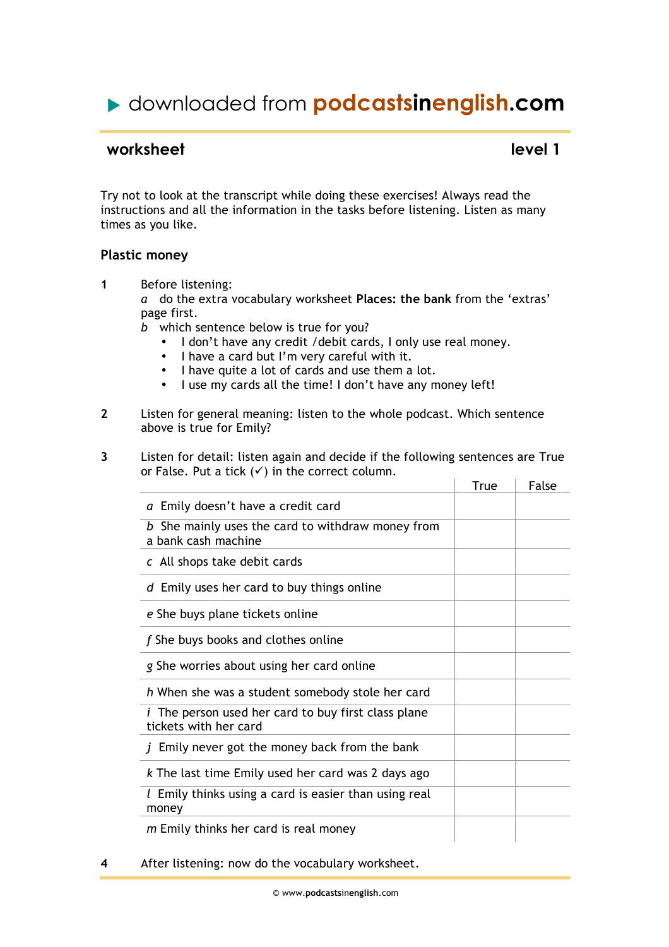# downloaded from **podcastsinenglish.com**

### **worksheet** level 1

Try not to look at the transcript while doing these exercises! Always read the instructions and all the information in the tasks before listening. Listen as many times as you like.

#### **Plastic money**

**1** Before listening:

*a* do the extra vocabulary worksheet **Places: the bank** from the 'extras' page first.

*b* which sentence below is true for you?

- I don't have any credit /debit cards, I only use real money.
- I have a card but I'm very careful with it.
- I have quite a lot of cards and use them a lot.
- I use my cards all the time! I don't have any money left!
- **2** Listen for general meaning: listen to the whole podcast. Which sentence above is true for Emily?
- **3** Listen for detail: listen again and decide if the following sentences are True or False. Put a tick  $(\checkmark)$  in the correct column.

|                                                                                     | True | False |
|-------------------------------------------------------------------------------------|------|-------|
| a Emily doesn't have a credit card                                                  |      |       |
| b She mainly uses the card to withdraw money from<br>a bank cash machine            |      |       |
| c All shops take debit cards                                                        |      |       |
| d Emily uses her card to buy things online                                          |      |       |
| e She buys plane tickets online                                                     |      |       |
| f She buys books and clothes online                                                 |      |       |
| g She worries about using her card online                                           |      |       |
| h When she was a student somebody stole her card                                    |      |       |
| <i>i</i> The person used her card to buy first class plane<br>tickets with her card |      |       |
| Emily never got the money back from the bank                                        |      |       |
| k The last time Emily used her card was 2 days ago                                  |      |       |
| $l$ Emily thinks using a card is easier than using real<br>money                    |      |       |
| m Emily thinks her card is real money                                               |      |       |

**4** After listening: now do the vocabulary worksheet.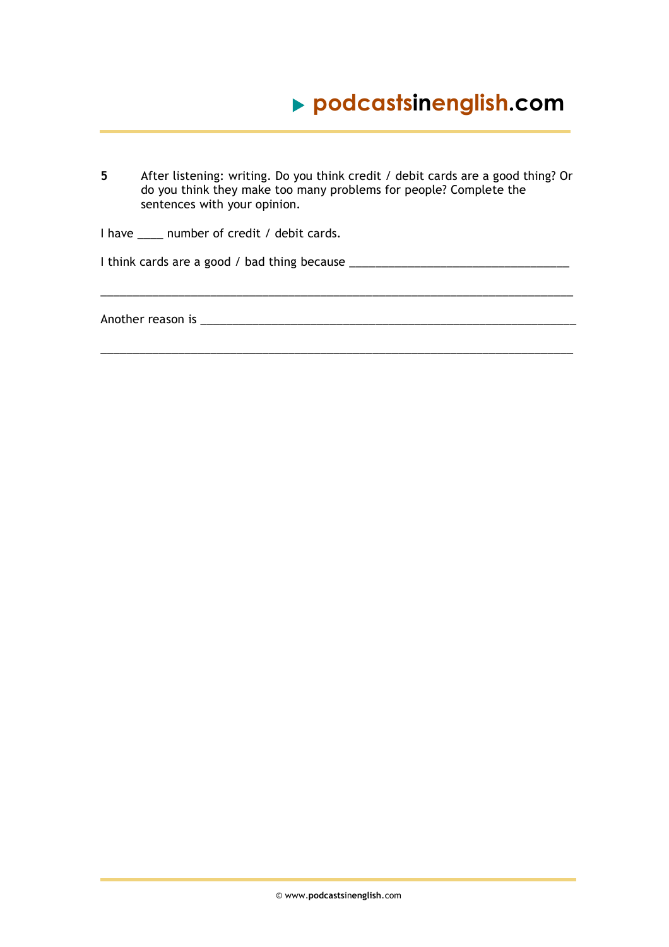# **podcastsinenglish.com**

**5** After listening: writing. Do you think credit / debit cards are a good thing? Or do you think they make too many problems for people? Complete the sentences with your opinion. I have \_\_\_\_ number of credit / debit cards.

\_\_\_\_\_\_\_\_\_\_\_\_\_\_\_\_\_\_\_\_\_\_\_\_\_\_\_\_\_\_\_\_\_\_\_\_\_\_\_\_\_\_\_\_\_\_\_\_\_\_\_\_\_\_\_\_\_\_\_\_\_\_\_\_\_\_\_\_\_\_\_\_\_

\_\_\_\_\_\_\_\_\_\_\_\_\_\_\_\_\_\_\_\_\_\_\_\_\_\_\_\_\_\_\_\_\_\_\_\_\_\_\_\_\_\_\_\_\_\_\_\_\_\_\_\_\_\_\_\_\_\_\_\_\_\_\_\_\_\_\_\_\_\_\_\_\_

I think cards are a good / bad thing because \_\_\_\_\_\_\_\_\_\_\_\_\_\_\_\_\_\_\_\_\_\_\_\_\_\_\_\_\_\_\_\_\_\_

Another reason is \_\_\_\_\_\_\_\_\_\_\_\_\_\_\_\_\_\_\_\_\_\_\_\_\_\_\_\_\_\_\_\_\_\_\_\_\_\_\_\_\_\_\_\_\_\_\_\_\_\_\_\_\_\_\_\_\_\_